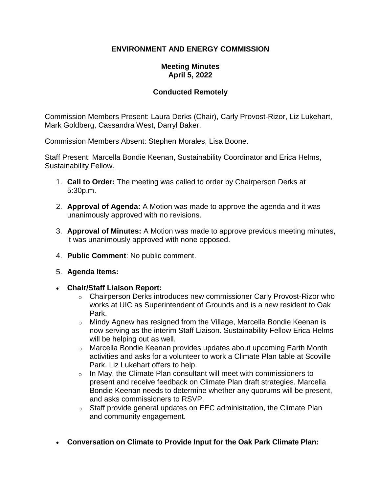## **ENVIRONMENT AND ENERGY COMMISSION**

## **Meeting Minutes April 5, 2022**

## **Conducted Remotely**

Commission Members Present: Laura Derks (Chair), Carly Provost-Rizor, Liz Lukehart, Mark Goldberg, Cassandra West, Darryl Baker.

Commission Members Absent: Stephen Morales, Lisa Boone.

Staff Present: Marcella Bondie Keenan, Sustainability Coordinator and Erica Helms, Sustainability Fellow.

- 1. **Call to Order:** The meeting was called to order by Chairperson Derks at 5:30p.m.
- 2. **Approval of Agenda:** A Motion was made to approve the agenda and it was unanimously approved with no revisions.
- 3. **Approval of Minutes:** A Motion was made to approve previous meeting minutes, it was unanimously approved with none opposed.
- 4. **Public Comment**: No public comment.
- 5. **Agenda Items:**
- **Chair/Staff Liaison Report:**
	- $\circ$  Chairperson Derks introduces new commissioner Carly Provost-Rizor who works at UIC as Superintendent of Grounds and is a new resident to Oak Park.
	- $\circ$  Mindy Agnew has resigned from the Village, Marcella Bondie Keenan is now serving as the interim Staff Liaison. Sustainability Fellow Erica Helms will be helping out as well.
	- o Marcella Bondie Keenan provides updates about upcoming Earth Month activities and asks for a volunteer to work a Climate Plan table at Scoville Park. Liz Lukehart offers to help.
	- o In May, the Climate Plan consultant will meet with commissioners to present and receive feedback on Climate Plan draft strategies. Marcella Bondie Keenan needs to determine whether any quorums will be present, and asks commissioners to RSVP.
	- o Staff provide general updates on EEC administration, the Climate Plan and community engagement.
- **Conversation on Climate to Provide Input for the Oak Park Climate Plan:**